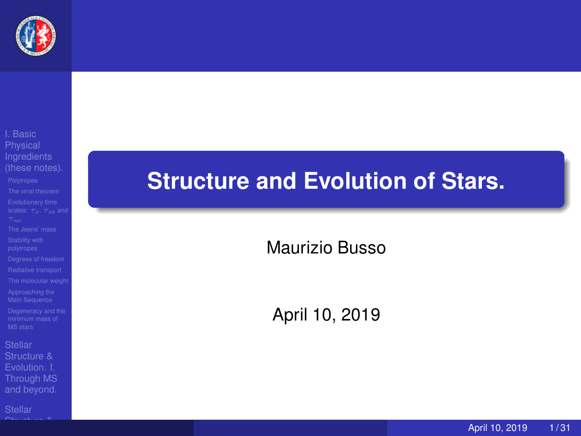

Structure & [Through MS](#page--1-0)

 $\bigcap_{n \leq n}$  structure  $\bigcap_{n \leq n}$ 

# **Structure and Evolution of Stars.**

Maurizio Busso

April 10, 2019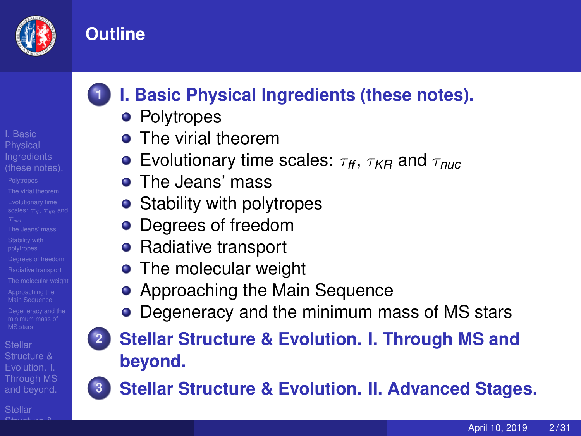

I. Basic **Physical** 

## **Outline**

# **1 [I. Basic Physical Ingredients \(these notes\).](#page-2-0)**

- **•** [Polytropes](#page-2-0)
- **•** [The virial theorem](#page-8-0)
- **e** [Evolutionary time scales:](#page-10-0)  $\tau_f$ ,  $\tau_{KR}$  and  $\tau_{nuc}$
- **o** [The Jeans' mass](#page-15-0)
- [Stability with polytropes](#page-17-0)
- [Degrees of freedom](#page-18-0)
- [Radiative transport](#page-19-0)
- [The molecular weight](#page-20-0)
- [Approaching the Main Sequence](#page-23-0)
- [Degeneracy and the minimum mass of MS stars](#page-25-0)
- 
- **2 [Stellar Structure & Evolution. I. Through MS and](#page--1-0) [beyond.](#page--1-0)**



**3 [Stellar Structure & Evolution. II. Advanced Stages.](#page--1-0)**

- $\bullet$ 
	-

April 10, 2019 2/31

Structure & [Through MS](#page--1-0) and beyond.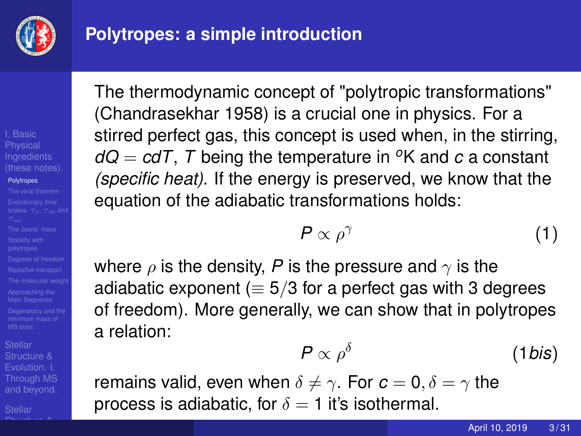

## <span id="page-2-0"></span>**Polytropes: a simple introduction**

# I. Basic **Physical**

#### **[Polytropes](#page-2-0)**

Structure & [Through MS](#page--1-0) and beyond.

 $\bigcap_{n \leq n}$  structure  $\bigcap_{n \leq n}$ 

The thermodynamic concept of "polytropic transformations" (Chandrasekhar 1958) is a crucial one in physics. For a stirred perfect gas, this concept is used when, in the stirring,  $dQ = c dT$ , *T* being the temperature in <sup>o</sup>K and *c* a constant *(specific heat)*. If the energy is preserved, we know that the equation of the adiabatic transformations holds:

$$
P \propto \rho^{\gamma} \tag{1}
$$

where  $\rho$  is the density, P is the pressure and  $\gamma$  is the adiabatic exponent ( $\equiv$  5/3 for a perfect gas with 3 degrees of freedom). More generally, we can show that in polytropes a relation:

$$
P \propto \rho^{\delta} \tag{1 bis}
$$

remains valid, even when  $\delta \neq \gamma$ . For  $c = 0, \delta = \gamma$  the process is adiabatic, for  $\delta = 1$  it's isothermal.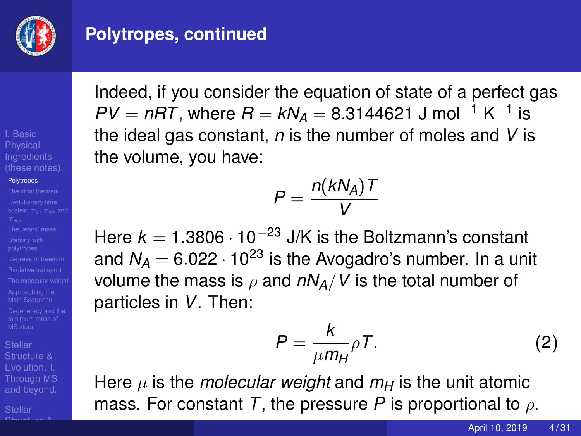

### **Polytropes, continued**

I. Basic **Physical** 

#### **[Polytropes](#page-2-0)**

Structure & [Through MS](#page--1-0) and beyond.

 $\bigcap_{n \leq n}$  structure  $\bigcap_{n \leq n}$ 

Indeed, if you consider the equation of state of a perfect gas  $PV = nRT$ , where  $R = kN_A = 8.3144621$  J mol<sup>-1</sup> K<sup>-1</sup> is the ideal gas constant, *n* is the number of moles and *V* is the volume, you have:

$$
P=\frac{n(kN_A)T}{V}
$$

Here  $k = 1.3806 \cdot 10^{-23}$  J/K is the Boltzmann's constant and  $N_A = 6.022 \cdot 10^{23}$  is the Avogadro's number. In a unit volume the mass is  $\rho$  and  $nN_A/V$  is the total number of particles in *V*. Then:

$$
P = \frac{k}{\mu m_H} \rho T.
$$
 (2)

Here  $\mu$  is the *molecular weight* and  $m_H$  is the unit atomic mass. For constant *T*, the pressure *P* is proportional to ρ.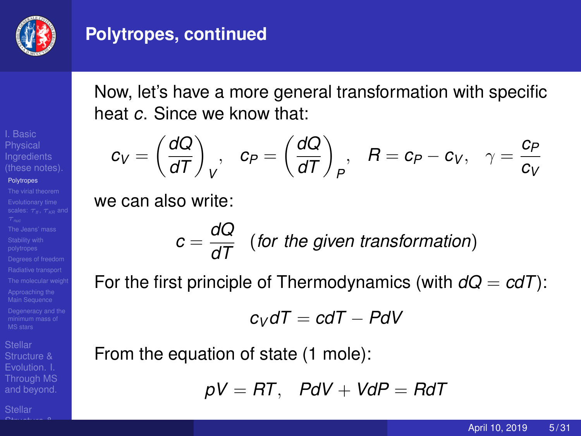

### **Polytropes, continued**

Now, let's have a more general transformation with specific heat *c*. Since we know that:

$$
c_V = \left(\frac{dQ}{dT}\right)_V, \quad c_P = \left(\frac{dQ}{dT}\right)_P, \quad R = c_P - c_V, \quad \gamma = \frac{c_P}{c_V}
$$

we can also write:

$$
c = \frac{dQ}{dT}
$$
 (for the given transformation)

For the first principle of Thermodynamics (with  $dQ = cdT$ ):

$$
c_V dT = c dT - P dV
$$

From the equation of state (1 mole):

$$
pV = RT, PdV + VdP = RdT
$$

I. Basic **Physical** 

#### **[Polytropes](#page-2-0)**

Structure & [Through MS](#page--1-0) and beyond.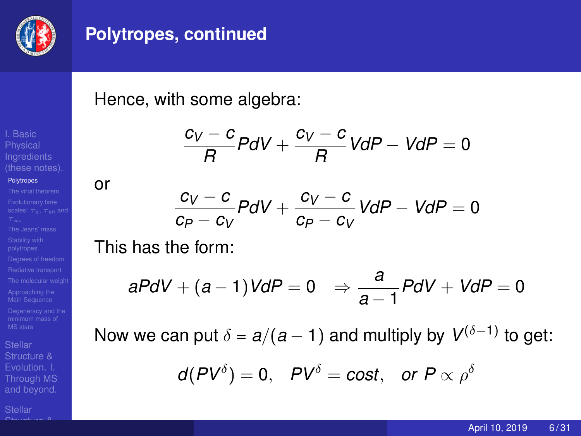

#### **Polytropes, continued**

Hence, with some algebra:

$$
\frac{c_V-c}{R}PdV+\frac{c_V-c}{R}VdP-VdP=0
$$

or

$$
\frac{c_V-c}{c_P-c_V}PdV+\frac{c_V-c}{c_P-c_V}VdP-VdP=0
$$

This has the form:

$$
aPdV + (a-1)VdP = 0 \Rightarrow \frac{a}{a-1}PdV + VdP = 0
$$

Now we can put  $\delta = a/(a-1)$  and multiply by  $V^{(\delta-1)}$  to get:

$$
d(PV^{\delta}) = 0
$$
,  $PV^{\delta} = cost$ , or  $P \propto \rho^{\delta}$ 

**[Polytropes](#page-2-0)** 

Structure & [Through MS](#page--1-0) and beyond.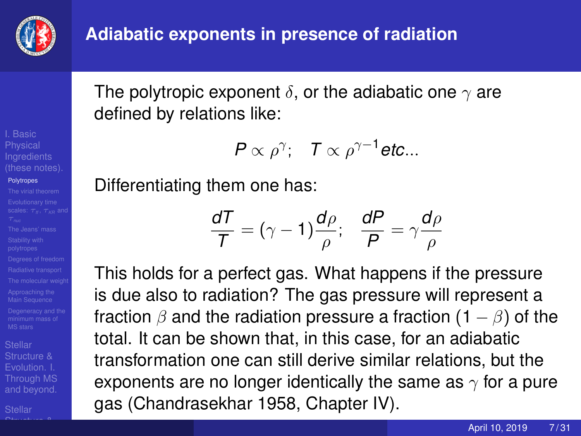

The polytropic exponent  $\delta$ , or the adiabatic one  $\gamma$  are defined by relations like:

$$
P\propto \rho^{\gamma};\quad T\propto \rho^{\gamma-1}\text{etc...}
$$

Differentiating them one has:

$$
\frac{dT}{T} = (\gamma - 1)\frac{d\rho}{\rho}; \quad \frac{dP}{P} = \gamma\frac{d\rho}{\rho}
$$

This holds for a perfect gas. What happens if the pressure is due also to radiation? The gas pressure will represent a fraction  $\beta$  and the radiation pressure a fraction  $(1 - \beta)$  of the total. It can be shown that, in this case, for an adiabatic transformation one can still derive similar relations, but the exponents are no longer identically the same as  $\gamma$  for a pure gas (Chandrasekhar 1958, Chapter IV).

I. Basic **Physical** 

#### **[Polytropes](#page-2-0)**

Structure & [Through MS](#page--1-0) and beyond.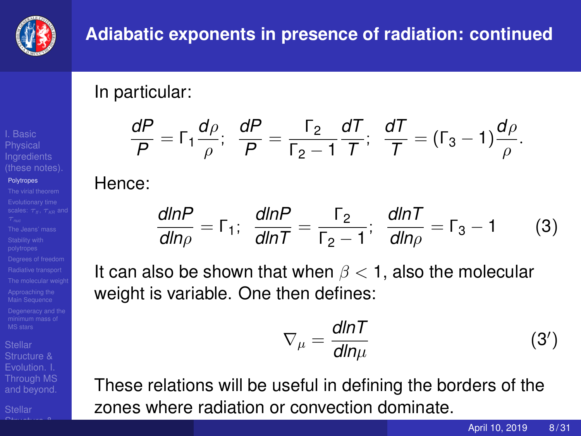

## **Adiabatic exponents in presence of radiation: continued**

In particular:

$$
\frac{dP}{P}=\Gamma_1\frac{d\rho}{\rho};\ \ \frac{dP}{P}=\frac{\Gamma_2}{\Gamma_2-1}\frac{dT}{T};\ \ \frac{dT}{T}=(\Gamma_3-1)\frac{d\rho}{\rho}.
$$

#### Hence:

$$
\frac{dlnP}{dln\rho} = \Gamma_1; \quad \frac{dlnP}{dlnT} = \frac{\Gamma_2}{\Gamma_2 - 1}; \quad \frac{dlnT}{dln\rho} = \Gamma_3 - 1 \tag{3}
$$

It can also be shown that when  $\beta$  < 1, also the molecular weight is variable. One then defines:

$$
\nabla_{\mu} = \frac{dlnT}{dln\mu} \tag{3'}
$$

These relations will be useful in defining the borders of the zones where radiation or convection dominate.

I. Basic **Physical** 

#### **[Polytropes](#page-2-0)**

Structure & [Through MS](#page--1-0) and beyond.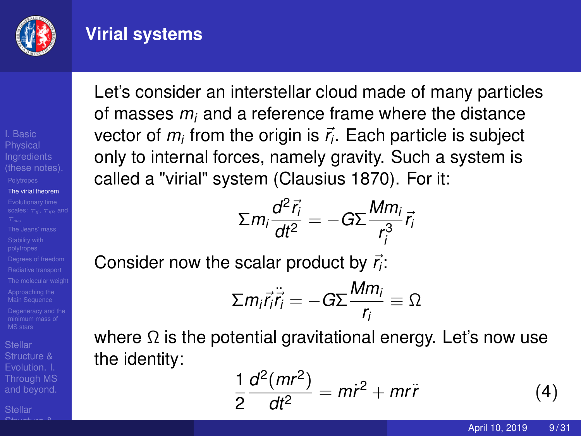

#### <span id="page-8-0"></span>**Virial systems**

I. Basic **Physical** 

#### [The virial theorem](#page-8-0)

Structure & [Through MS](#page--1-0) and beyond.

 $\bigcap_{n \leq n}$  structure  $\bigcap_{n \leq n}$ 

Let's consider an interstellar cloud made of many particles of masses *m<sup>i</sup>* and a reference frame where the distance vector of  $m_i$  from the origin is  $\vec{r_i}$ . Each particle is subject only to internal forces, namely gravity. Such a system is called a "virial" system (Clausius 1870). For it:

$$
\Sigma m_i \frac{d^2 \vec{r}_i}{dt^2} = -G \Sigma \frac{M m_i}{r_i^3} \vec{r}_i
$$

Consider now the scalar product by  $\vec{r}_i$ :

$$
\Sigma m_i \ddot{r_i} \ddot{\vec{r_i}} = -G \Sigma \frac{M m_i}{r_i} \equiv \Omega
$$

where  $\Omega$  is the potential gravitational energy. Let's now use the identity:

$$
\frac{1}{2}\frac{d^2(mr^2)}{dt^2} = m\dot{r}^2 + mr\ddot{r}
$$
 (4)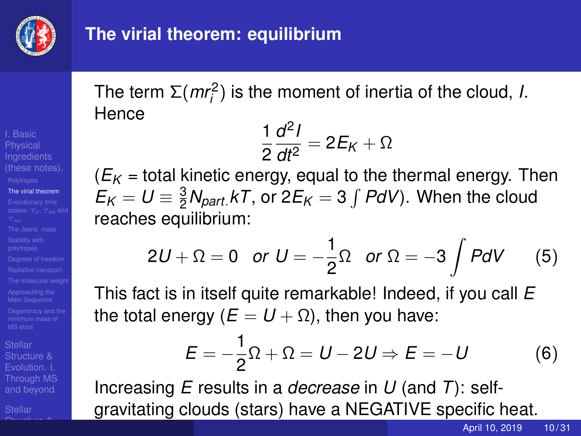

## **The virial theorem: equilibrium**

# I. Basic **Physical**

#### [The virial theorem](#page-8-0)

Structure & [Through MS](#page--1-0) and beyond.

 $\bigcap_{n \leq n}$  structure  $\bigcap_{n \leq n}$ 

The term  $\Sigma(mr_i^2)$  is the moment of inertia of the cloud, *I*. **Hence** 

$$
\frac{1}{2}\frac{d^2I}{dt^2}=2E_K+\Omega
$$

 $(E_K =$  total kinetic energy, equal to the thermal energy. Then  $E_K = U \equiv \frac{3}{2} N_{part.} kT$ , or 2 $E_K = 3 \int P dV$ ). When the cloud reaches equilibrium:

$$
2U + \Omega = 0 \quad \text{or} \quad U = -\frac{1}{2}\Omega \quad \text{or} \quad \Omega = -3 \int P dV \qquad (5)
$$

This fact is in itself quite remarkable! Indeed, if you call *E* the total energy ( $E = U + Ω$ ), then you have:

$$
E = -\frac{1}{2}\Omega + \Omega = U - 2U \Rightarrow E = -U \tag{6}
$$

Increasing *E* results in a *decrease* in *U* (and *T*): selfgravitating clouds (stars) have a NEGATIVE specific heat.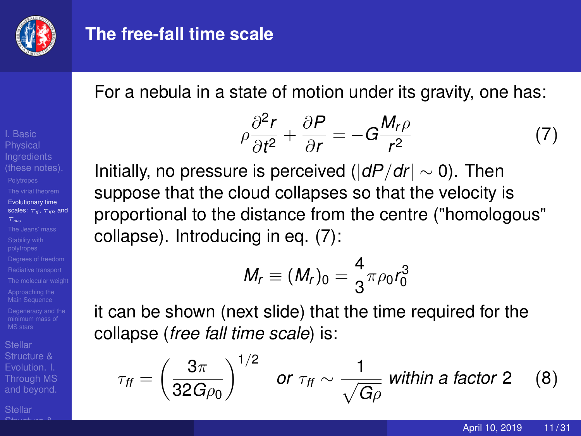

#### <span id="page-10-0"></span>**The free-fall time scale**

For a nebula in a state of motion under its gravity, one has:

$$
\rho \frac{\partial^2 r}{\partial t^2} + \frac{\partial P}{\partial r} = -G \frac{M_r \rho}{r^2}
$$
 (7)

Initially, no pressure is perceived (|*dP*/*dr*| ∼ 0). Then suppose that the cloud collapses so that the velocity is proportional to the distance from the centre ("homologous" collapse). Introducing in eq. (7):

$$
M_r\equiv (M_r)_0=\frac{4}{3}\pi\rho_0 r_0^3
$$

it can be shown (next slide) that the time required for the collapse (*free fall time scale*) is:

$$
\tau_{\text{ff}} = \left(\frac{3\pi}{32G\rho_0}\right)^{1/2} \quad \text{or} \ \tau_{\text{ff}} \sim \frac{1}{\sqrt{G\rho}} \text{ within a factor 2} \quad (8)
$$

[Evolutionary time](#page-10-0) scales:  $τ<sub>n</sub>$ ,  $τ<sub>kn</sub>$  and

I. Basic **Physical** 

Structure & [Through MS](#page--1-0) and beyond.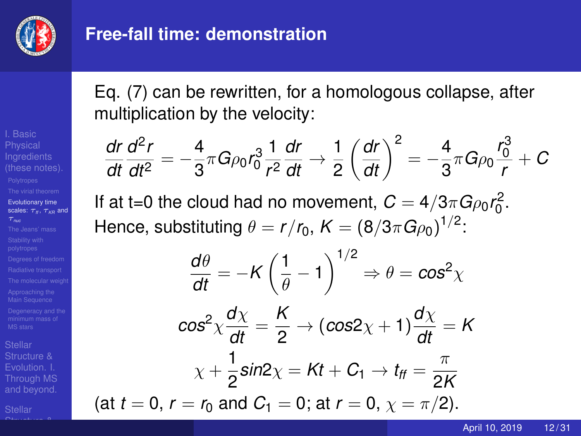

## **Free-fall time: demonstration**

Eq. (7) can be rewritten, for a homologous collapse, after multiplication by the velocity:

$$
\frac{dr}{dt}\frac{d^2r}{dt^2} = -\frac{4}{3}\pi G\rho_0 r_0^3 \frac{1}{r^2}\frac{dr}{dt} \rightarrow \frac{1}{2}\left(\frac{dr}{dt}\right)^2 = -\frac{4}{3}\pi G\rho_0 \frac{r_0^3}{r} + C
$$
  
If at t=0 the cloud had no movement,  $C = 4/3\pi G\rho_0 r_0^2$ .  
Hence, substituting  $\theta = r/r_0$ ,  $K = (8/3\pi G\rho_0)^{1/2}$ :  

$$
\frac{d\theta}{dt} = -K\left(\frac{1}{\theta} - 1\right)^{1/2} \Rightarrow \theta = \cos^2\chi
$$

$$
\cos^2\chi \frac{d\chi}{dt} = \frac{K}{2} \rightarrow (\cos 2\chi + 1)\frac{d\chi}{dt} = K
$$

$$
\chi + \frac{1}{2}\sin 2\chi = Kt + C_1 \rightarrow t_{ff} = \frac{\pi}{2K}
$$
  
(at  $t = 0$ ,  $r = r_0$  and  $C_1 = 0$ ; at  $r = 0$ ,  $\chi = \pi/2$ ).

[Evolutionary time](#page-10-0) scales:  $τ<sub>n</sub>$ ,  $τ<sub>kn</sub>$  and τ*nuc*

Structure & and beyond.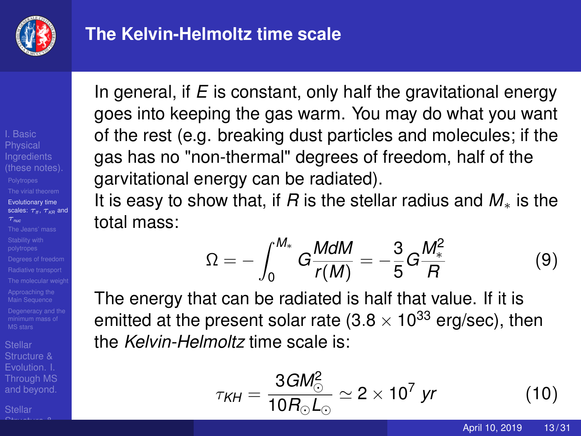

## **The Kelvin-Helmoltz time scale**

I. Basic **Physical** [Evolutionary time](#page-10-0) scales:  $τ_μ$ ,  $τ_μ_0$  and

Structure & [Through MS](#page--1-0) and beyond.

 $\bigcap_{n \leq n}$  structure  $\bigcap_{n \leq n}$ 

In general, if *E* is constant, only half the gravitational energy goes into keeping the gas warm. You may do what you want of the rest (e.g. breaking dust particles and molecules; if the gas has no "non-thermal" degrees of freedom, half of the garvitational energy can be radiated).

It is easy to show that, if *R* is the stellar radius and *M*<sup>∗</sup> is the total mass:

$$
\Omega = -\int_0^{M_*} G \frac{M dM}{r(M)} = -\frac{3}{5} G \frac{M_*^2}{R}
$$
 (9)

The energy that can be radiated is half that value. If it is emitted at the present solar rate  $(3.8 \times 10^{33} \text{ erg/sec})$ , then the *Kelvin-Helmoltz* time scale is:

$$
\tau_{KH} = \frac{3GM_{\odot}^2}{10R_{\odot}L_{\odot}} \simeq 2 \times 10^7 \text{ yr}
$$
 (10)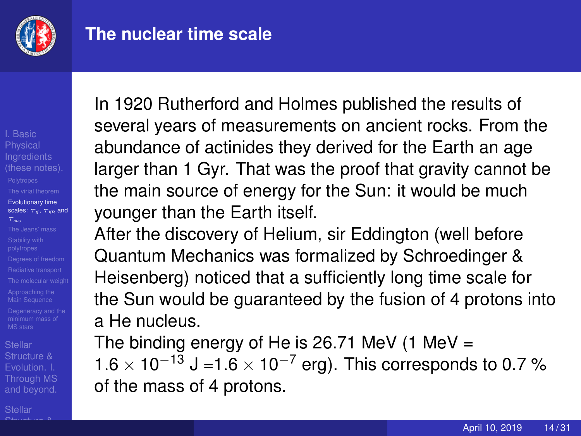

#### **The nuclear time scale**

I. Basic **Physical** [Evolutionary time](#page-10-0) scales:  $τ<sub>n</sub>$ ,  $τ<sub>kn</sub>$  and

Structure & [Through MS](#page--1-0) and beyond.

 $\bigcap_{n \leq n}$  structure  $\bigcap_{n \leq n}$ 

In 1920 Rutherford and Holmes published the results of several years of measurements on ancient rocks. From the abundance of actinides they derived for the Earth an age larger than 1 Gyr. That was the proof that gravity cannot be the main source of energy for the Sun: it would be much younger than the Earth itself.

After the discovery of Helium, sir Eddington (well before Quantum Mechanics was formalized by Schroedinger & Heisenberg) noticed that a sufficiently long time scale for the Sun would be guaranteed by the fusion of 4 protons into a He nucleus.

The binding energy of He is 26.71 MeV  $(1 \text{ MeV})$  $1.6 \times 10^{-13}$  J = 1.6  $\times 10^{-7}$  erg). This corresponds to 0.7 % of the mass of 4 protons.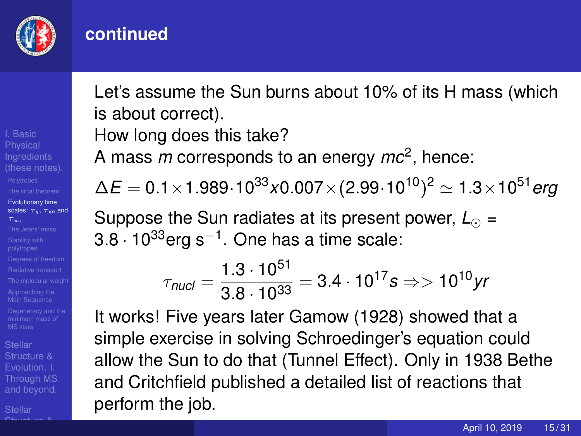

#### **continued**

I. Basic **Physical** [Evolutionary time](#page-10-0) scales:  $τ<sub>n</sub>$ ,  $τ<sub>kn</sub>$  and

Structure & [Through MS](#page--1-0) and beyond.

 $\bigcap_{n \leq n}$  structure  $\bigcap_{n \leq n}$ 

Let's assume the Sun burns about 10% of its H mass (which is about correct).

How long does this take?

A mass *m* corresponds to an energy *mc*<sup>2</sup> , hence:

 $\Delta\mathit{E} = 0.1\!\times\!1.989\!\cdot\!10^{33} \text{x}$ 0.007 $\times$ (2.99 $\cdot$ 10 $^{10})^2$   $\simeq$  1.3 $\times$ 10 $^{51}$ *erg* 

Suppose the Sun radiates at its present power,  $L_{\odot}$  = 3.8  $\cdot$  10 $^{33}$ erg s $^{-1}$ . One has a time scale:

$$
\tau_{\text{nucl}} = \frac{1.3 \cdot 10^{51}}{3.8 \cdot 10^{33}} = 3.4 \cdot 10^{17} s \Rightarrow 10^{10} yr
$$

It works! Five years later Gamow (1928) showed that a simple exercise in solving Schroedinger's equation could allow the Sun to do that (Tunnel Effect). Only in 1938 Bethe and Critchfield published a detailed list of reactions that perform the job.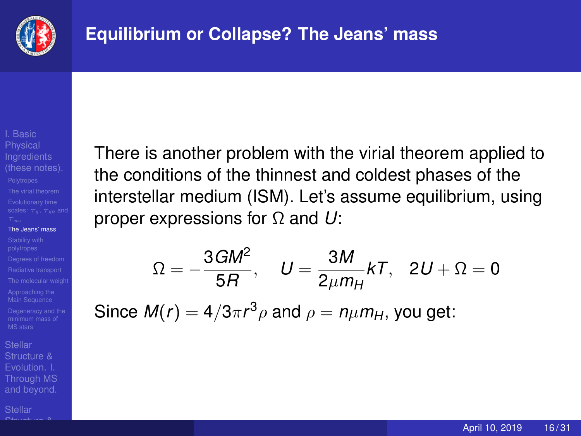<span id="page-15-0"></span>

**Physical** [The Jeans' mass](#page-15-0)

Structure & [Through MS](#page--1-0) and beyond.

 $\bigcap_{n \leq n}$  structure  $\bigcap_{n \leq n}$ 

There is another problem with the virial theorem applied to the conditions of the thinnest and coldest phases of the interstellar medium (ISM). Let's assume equilibrium, using proper expressions for Ω and *U*:

$$
\Omega=-\frac{3GM^2}{5R},\quad U=\frac{3M}{2\mu m_H}kT,\quad 2U+\Omega=0
$$

Since  $M(r) = 4/3\pi r^3\rho$  and  $\rho = n\mu m_H$ , you get: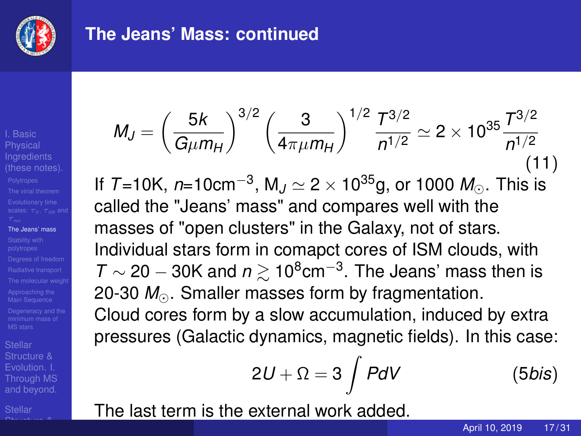

#### **The Jeans' Mass: continued**

I. Basic **Physical** [The Jeans' mass](#page-15-0)

Structure & [Through MS](#page--1-0) and beyond.

 $\bigcap_{n \leq n}$  structure  $\bigcap_{n \leq n}$ 

$$
M_J = \left(\frac{5k}{G\mu m_H}\right)^{3/2} \left(\frac{3}{4\pi\mu m_H}\right)^{1/2} \frac{T^{3/2}}{n^{1/2}} \simeq 2 \times 10^{35} \frac{T^{3/2}}{n^{1/2}}
$$
\n(11)

lf *T*=10K, *n*=10cm<sup>−3</sup>, M*J*  $\simeq$  2  $\times$  10<sup>35</sup>g, or 1000 *M*⊙. This is called the "Jeans' mass" and compares well with the masses of "open clusters" in the Galaxy, not of stars. Individual stars form in comapct cores of ISM clouds, with  $T \sim 20 - 30$ K and  $n \gtrsim 10^8$ cm<sup>-3</sup>. The Jeans' mass then is 20-30 *M*. Smaller masses form by fragmentation. Cloud cores form by a slow accumulation, induced by extra pressures (Galactic dynamics, magnetic fields). In this case:

$$
2U + \Omega = 3 \int P dV \qquad (5 \text{bis})
$$

The last term is the external work added.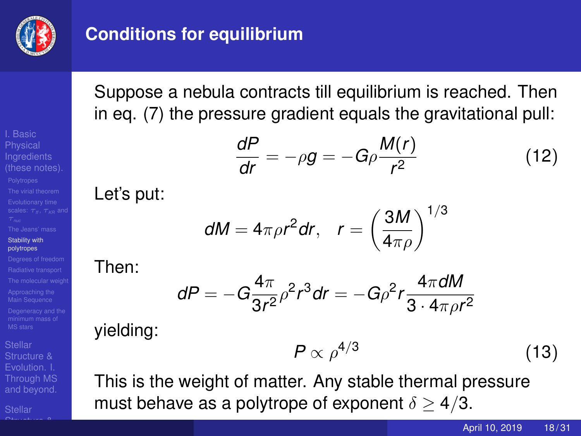

### <span id="page-17-0"></span>**Conditions for equilibrium**

Suppose a nebula contracts till equilibrium is reached. Then in eq. (7) the pressure gradient equals the gravitational pull:

$$
\frac{dP}{dr} = -\rho g = -G\rho \frac{M(r)}{r^2} \tag{12}
$$

#### Let's put:

$$
dM = 4\pi \rho r^2 dr, \quad r = \left(\frac{3M}{4\pi \rho}\right)^{1/3}
$$

#### Then:

$$
dP=-G\frac{4\pi}{3r^2}\rho^2r^3dr=-G\rho^2r\frac{4\pi dM}{3\cdot 4\pi\rho r^2}
$$

#### yielding:

$$
P \propto \rho^{4/3} \tag{13}
$$

This is the weight of matter. Any stable thermal pressure must behave as a polytrope of exponent  $\delta > 4/3$ .

April 10, 2019 18/31

I. Basic **Physical** [Stability with](#page-17-0) polytropes

Structure & [Through MS](#page--1-0) and beyond.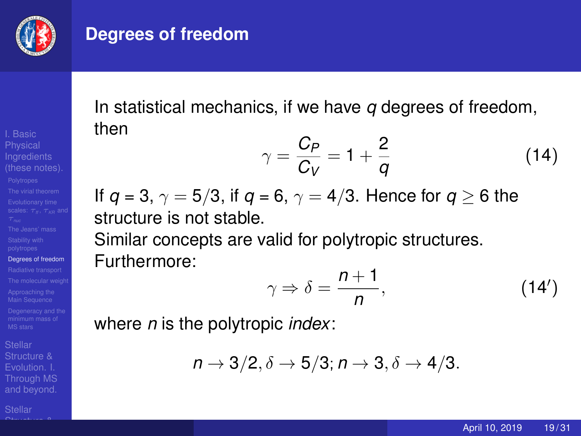

#### <span id="page-18-0"></span>**Degrees of freedom**

**Physical** [Degrees of freedom](#page-18-0)

Structure & [Through MS](#page--1-0) and beyond.

 $\bigcap_{n \leq n}$  structure  $\bigcap_{n \leq n}$ 

In statistical mechanics, if we have *q* degrees of freedom, then

$$
\gamma = \frac{C_P}{C_V} = 1 + \frac{2}{q} \tag{14}
$$

If  $q = 3$ ,  $\gamma = 5/3$ , if  $q = 6$ ,  $\gamma = 4/3$ . Hence for  $q \ge 6$  the structure is not stable.

Similar concepts are valid for polytropic structures. Furthermore:

$$
\gamma \Rightarrow \delta = \frac{n+1}{n},\tag{14'}
$$

where *n* is the polytropic *index*:

$$
n \to 3/2, \delta \to 5/3; n \to 3, \delta \to 4/3.
$$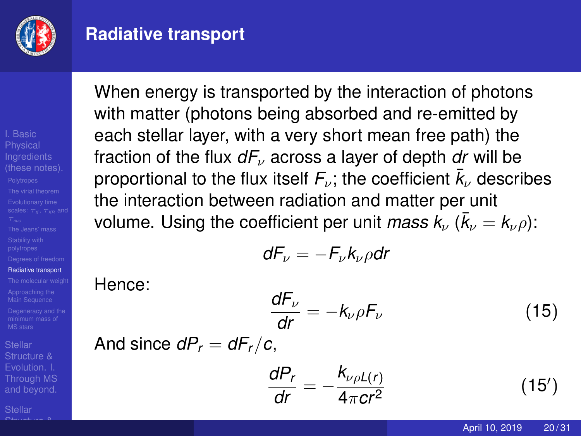

#### <span id="page-19-0"></span>**Radiative transport**

I. Basic **Physical** [Radiative transport](#page-19-0)

Structure & [Through MS](#page--1-0) and beyond.

 $\bigcap_{n \leq n}$  structure  $\bigcap_{n \leq n}$ 

When energy is transported by the interaction of photons with matter (photons being absorbed and re-emitted by each stellar layer, with a very short mean free path) the fraction of the flux *dF*<sup>ν</sup> across a layer of depth *dr* will be proportional to the flux itself  $F_\nu$ ; the coefficient  $\bar{k}_\nu$  describes the interaction between radiation and matter per unit volume. Using the coefficient per unit *mass*  $\bar{k}_{\nu}$  *(* $\bar{k}_{\nu} = k_{\nu} \rho$ *)*:

$$
dF_{\nu}=-F_{\nu}k_{\nu}\rho dr
$$

Hence:

$$
\frac{dF_{\nu}}{dr} = -k_{\nu}\rho F_{\nu} \tag{15}
$$

And since 
$$
dP_r = dF_r/c
$$
,

$$
\frac{dP_r}{dr} = -\frac{k_{\nu\rho}L(r)}{4\pi cr^2} \tag{15'}
$$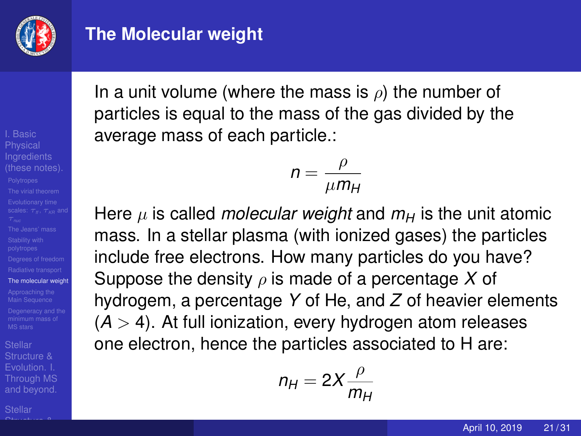

#### <span id="page-20-0"></span>**The Molecular weight**

I. Basic **Physical** [The molecular weight](#page-20-0)

Structure & [Through MS](#page--1-0) and beyond.

 $\bigcap_{n \leq n}$  structure  $\bigcap_{n \leq n}$ 

In a unit volume (where the mass is  $\rho$ ) the number of particles is equal to the mass of the gas divided by the average mass of each particle.:

$$
n = \frac{\rho}{\mu m_H}
$$

Here  $\mu$  is called *molecular weight* and  $m_H$  is the unit atomic mass. In a stellar plasma (with ionized gases) the particles include free electrons. How many particles do you have? Suppose the density  $\rho$  is made of a percentage X of hydrogem, a percentage *Y* of He, and *Z* of heavier elements  $(A > 4)$ . At full ionization, every hydrogen atom releases one electron, hence the particles associated to H are:

$$
n_H=2X\frac{\rho}{m_H}
$$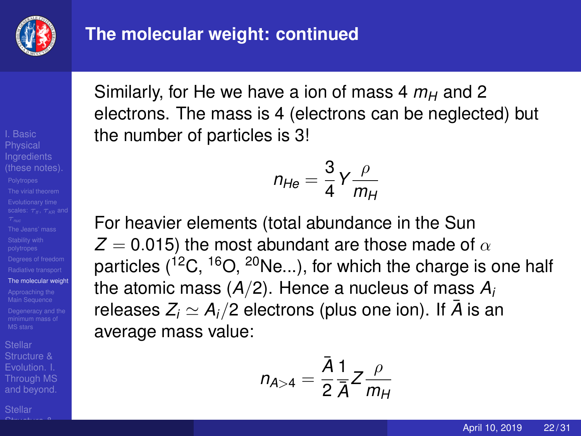

**Physical** [The molecular weight](#page-20-0)

Structure & [Through MS](#page--1-0) and beyond.

 $\bigcap_{n \leq n}$  structure  $\bigcap_{n \leq n}$ 

Similarly, for He we have a ion of mass 4  $m_H$  and 2 electrons. The mass is 4 (electrons can be neglected) but the number of particles is 3!

$$
n_{He}=\frac{3}{4}Y\frac{\rho}{m_H}
$$

For heavier elements (total abundance in the Sun  $Z = 0.015$ ) the most abundant are those made of  $\alpha$ particles  $(^{12}C, ^{16}O, ^{20}Ne...)$ , for which the charge is one half the atomic mass (*A*/2). Hence a nucleus of mass *A<sup>i</sup>* releases  $Z_i \simeq A_i/2$  electrons (plus one ion). If  $\bar{A}$  is an average mass value:

$$
n_{A>4}=\frac{\bar{A}}{2}\frac{1}{\bar{A}}Z\frac{\rho}{m_H}
$$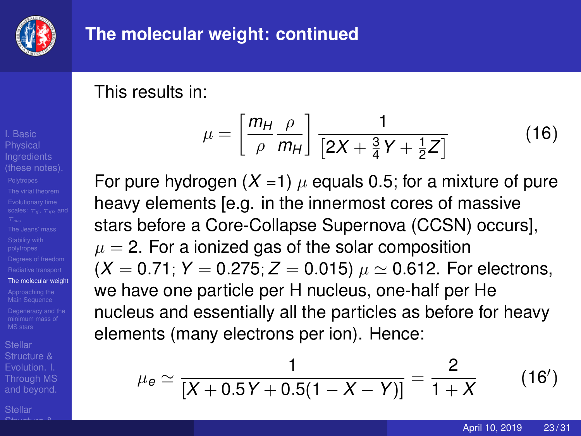

## **The molecular weight: continued**

This results in:

$$
\mu = \left[\frac{m_H \rho}{\rho \ m_H}\right] \frac{1}{\left[2X + \frac{3}{4}Y + \frac{1}{2}Z\right]}
$$
(16)

For pure hydrogen  $(X = 1)$   $\mu$  equals 0.5; for a mixture of pure heavy elements [e.g. in the innermost cores of massive stars before a Core-Collapse Supernova (CCSN) occurs],  $\mu = 2$ . For a ionized gas of the solar composition  $(X = 0.71; Y = 0.275; Z = 0.015)$   $\mu \approx 0.612$ . For electrons, we have one particle per H nucleus, one-half per He nucleus and essentially all the particles as before for heavy elements (many electrons per ion). Hence:

$$
\mu_e \simeq \frac{1}{[X+0.5Y+0.5(1-X-Y)]} = \frac{2}{1+X} \qquad (16')
$$

April 10, 2019 23/31

I. Basic **Physical** [The molecular weight](#page-20-0)

Structure & [Through MS](#page--1-0) and beyond.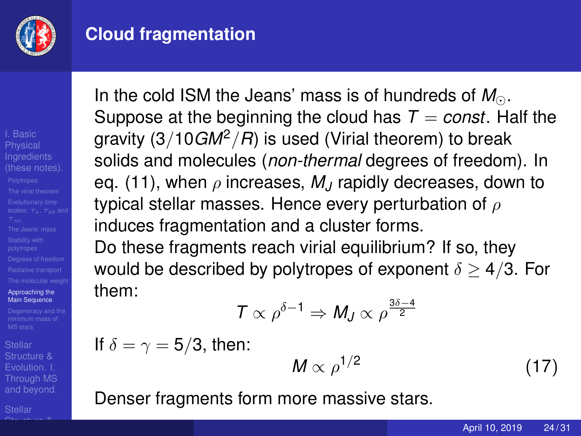

### <span id="page-23-0"></span>**Cloud fragmentation**

I. Basic **Physical** [Approaching the](#page-23-0) Main Sequence

Structure & [Through MS](#page--1-0) and beyond.

 $\bigcap_{n \leq n}$  structure  $\bigcap_{n \leq n}$ 

In the cold ISM the Jeans' mass is of hundreds of M<sub>o</sub>. Suppose at the beginning the cloud has  $T = const.$  Half the gravity  $(3/10GM^2/R)$  is used (Virial theorem) to break solids and molecules (*non-thermal* degrees of freedom). In eq. (11), when  $\rho$  increases,  $M_J$  rapidly decreases, down to typical stellar masses. Hence every perturbation of  $\rho$ induces fragmentation and a cluster forms.

Do these fragments reach virial equilibrium? If so, they would be described by polytropes of exponent  $\delta \geq 4/3$ . For them:

$$
T \propto \rho^{\delta - 1} \Rightarrow M_J \propto \rho^{\frac{3\delta - 4}{2}}
$$

If  $\delta = \gamma = 5/3$ , then:

$$
M \propto \rho^{1/2} \tag{17}
$$

Denser fragments form more massive stars.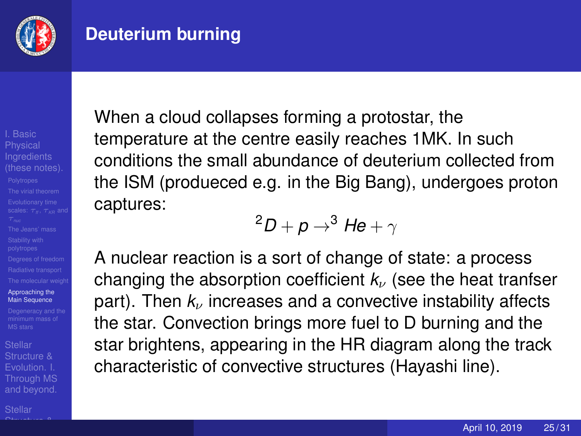

## **Deuterium burning**

I. Basic **Physical** [Approaching the](#page-23-0) Main Sequence

Structure & [Through MS](#page--1-0) and beyond.

 $\bigcap_{n \leq n}$  structure  $\bigcap_{n \leq n}$ 

When a cloud collapses forming a protostar, the temperature at the centre easily reaches 1MK. In such conditions the small abundance of deuterium collected from the ISM (produeced e.g. in the Big Bang), undergoes proton captures:

 $^{2}D + p \rightarrow ^{3}$  *He* +  $\gamma$ 

A nuclear reaction is a sort of change of state: a process changing the absorption coefficient  $k_{\nu}$  (see the heat tranfser part). Then  $k_{\nu}$  increases and a convective instability affects the star. Convection brings more fuel to D burning and the star brightens, appearing in the HR diagram along the track characteristic of convective structures (Hayashi line).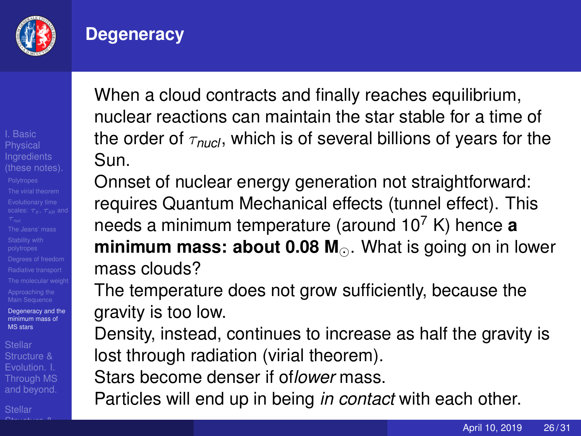

#### <span id="page-25-0"></span>**Degeneracy**

I. Basic **Physical** [Degeneracy and the](#page-25-0) minimum mass of MS stars

Structure & [Through MS](#page--1-0) and beyond.

 $\bigcap_{n \leq n}$  structure  $\bigcap_{n \leq n}$ 

When a cloud contracts and finally reaches equilibrium, nuclear reactions can maintain the star stable for a time of the order of  $\tau_{\text{nucl}}$ , which is of several billions of years for the Sun.

Onnset of nuclear energy generation not straightforward: requires Quantum Mechanical effects (tunnel effect). This needs a minimum temperature (around 10<sup>7</sup> K) hence **a minimum mass: about 0.08 M**... What is going on in lower mass clouds?

The temperature does not grow sufficiently, because the gravity is too low.

Density, instead, continues to increase as half the gravity is lost through radiation (virial theorem).

Stars become denser if of*lower* mass.

Particles will end up in being *in contact* with each other.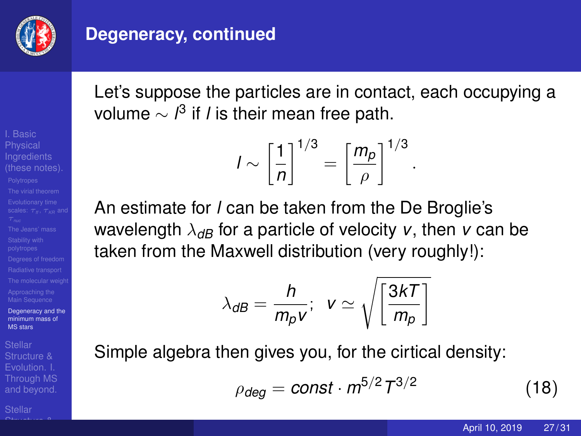

#### **Degeneracy, continued**

I. Basic **Physical** [Degeneracy and the](#page-25-0) minimum mass of MS stars

Structure & [Through MS](#page--1-0) and beyond.

 $\bigcap_{n \leq n}$  structure  $\bigcap_{n \leq n}$ 

Let's suppose the particles are in contact, each occupying a volume ∼ *l* 3 if *l* is their mean free path.

$$
I \sim \left[\frac{1}{n}\right]^{1/3} = \left[\frac{m_p}{\rho}\right]^{1/3}
$$

An estimate for *l* can be taken from the De Broglie's wavelength  $\lambda_{\text{dB}}$  for a particle of velocity *v*, then *v* can be taken from the Maxwell distribution (very roughly!):

$$
\lambda_{\textit{dB}} = \frac{h}{m_{\rho} v}; \ \ v \simeq \sqrt{\left[\frac{3kT}{m_{\rho}}\right]}
$$

Simple algebra then gives you, for the cirtical density:

$$
\rho_{\text{deg}} = \text{const} \cdot m^{5/2} T^{3/2} \tag{18}
$$

.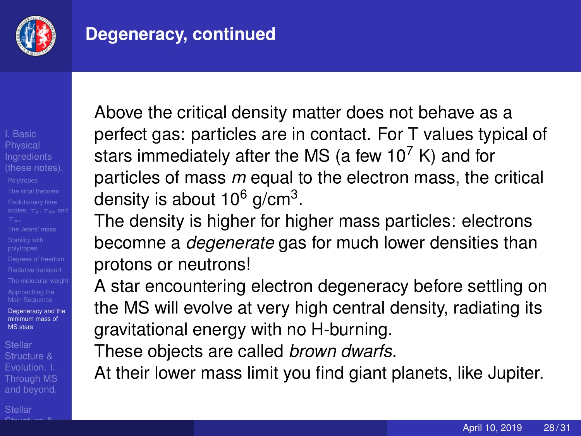

### **Degeneracy, continued**

I. Basic **Physical** [Degeneracy and the](#page-25-0) minimum mass of MS stars

Structure & [Through MS](#page--1-0) and beyond.

 $\bigcap_{n \leq n}$  structure  $\bigcap_{n \leq n}$ 

Above the critical density matter does not behave as a perfect gas: particles are in contact. For T values typical of stars immediately after the MS (a few  $10^7$  K) and for particles of mass *m* equal to the electron mass, the critical density is about 10 $^6$  g/cm $^3$ .

The density is higher for higher mass particles: electrons becomne a *degenerate* gas for much lower densities than protons or neutrons!

A star encountering electron degeneracy before settling on the MS will evolve at very high central density, radiating its gravitational energy with no H-burning.

These objects are called *brown dwarfs*.

At their lower mass limit you find giant planets, like Jupiter.